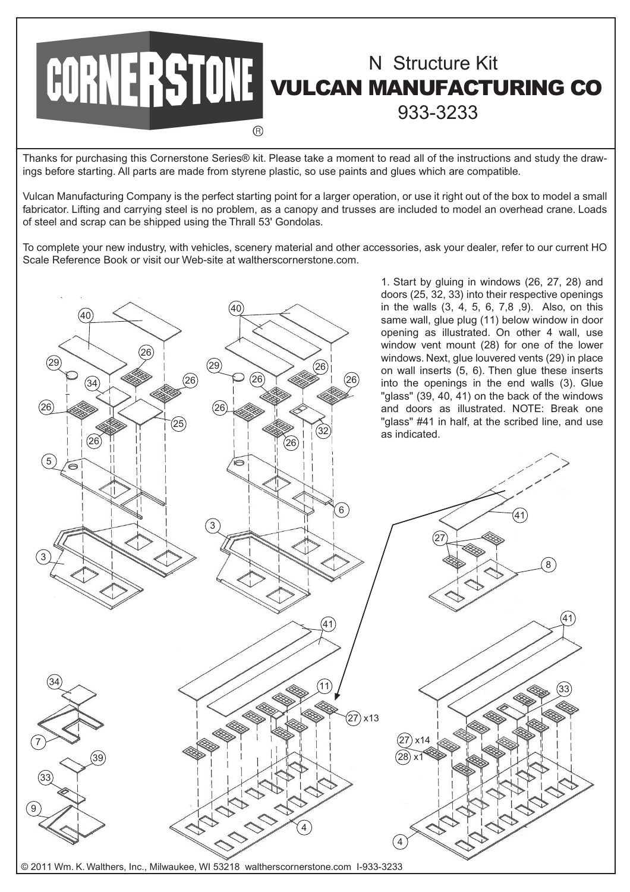

Thanks for purchasing this Cornerstone Series® kit. Please take a moment to read all of the instructions and study the drawings before starting. All parts are made from styrene plastic, so use paints and glues which are compatible.

Vulcan Manufacturing Company is the perfect starting point for a larger operation, or use it right out of the box to model a small fabricator. Lifting and carrying steel is no problem, as a canopy and trusses are included to model an overhead crane. Loads of steel and scrap can be shipped using the Thrall 53' Gondolas.

To complete your new industry, with vehicles, scenery material and other accessories, ask your dealer, refer to our current HO Scale Reference Book or visit our Web-site at waltherscornerstone.com.